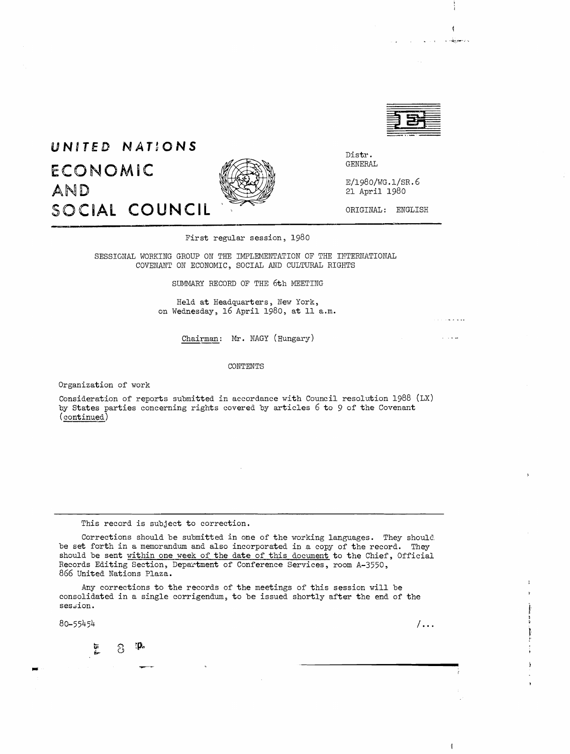

Ą

سوالات الم

is indegeneratio

# **UNITED NATIONS ECONOMiC** AND SOCIAL COUNCIL



Distr. GENERAL

E/1980/WG.l/SR.6 21 April 1980

ORIGINAL: ENGLISH

First regular session, 1980

SESSIONAL WORKING GROUP ON THE IMPLEMENTATION OF THE INTERNATIONAL COVENAWT ON ECONOMIC, SOCIAL AND CULTURAL RIGHTS

SUMMARY RECORD OF THE 6th MEETING

Held at Headquarters, New York, on Wednesday, 16 April 1980, at 11 a.m.

Chairman: Mr. NAGY (Hungary)

CONTENTS

Organization of work

Consideration of reports submitted in accordance with Council resolution 1988 (LX) by States parties concerning rights covered by articles 6 to 9 of the Covenant (continued)

This record is subject to correction.

Corrections should be submitted in one of the working languages. They should. be set forth in a memorandum and also incorporated in a copy of the record. They should be sent within one week of the date of this document to the Chief, Official Records Editing Section, Department of Conference Services, room A-3550, 866 United Nations Plaza.

Any corrections to the records of the meetings of this session will be consolidated in a single corrigendum, to be issued shortly after the end of the ses.ion.

 $80 - 55454$  / ...

ιp. 巨星 පි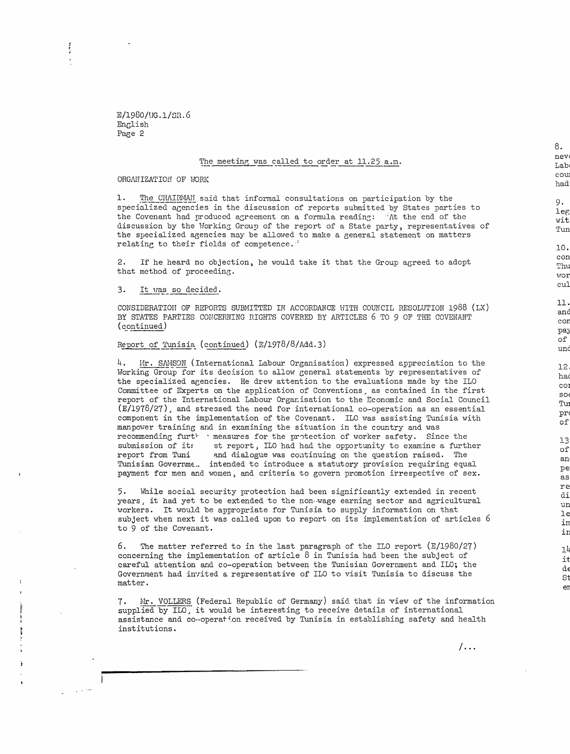E/1980/UG.l/SR.6 EnGlish Page 2

## The meeting was called to order at 11.25 a.m.

#### ORGANIZATION OF WORK

1. The CHAIRMAH said that informal consultations on participation by the specialized agencies in the discussion of reports submitted by States parties to the Covenant had produced agreement on a formula reading:  $\frac{1}{1}\Lambda t$  the end of the discussion by the Working Group of the report of a State party, representatives of the specialized agencies may be allowed to make a general statement on matters relating to their fields of competence.<sup>1</sup>

2. If he heard no objection, he would take it that the Group agreed to adopt that method of proceeding.

#### 3. It vas so dec ided .

CONSIDERATION OF REPORTS SUBMITTED IN ACCORDANCE HITH COUNCIL RESOLUTION 1988 (LX) BY STATES PARTIES CONCERNING RIGHTS COVERED BY ARTICLES 6 TO 9 OF THE COVENANT (continued)

## Report of Tunisia (continued)  $(E/1978/8/Add.3)$

4.  $Mr.$  SAMSON (International Labour Organisation) expressed appreciation to the Working Group for its decision to allow general statements by representatives of the specialized agencies. He drew attention to the evaluations made by the ILO Committee of Experts on the application of Conventions, as contained in the first report of the International Labour Organisation to the Economic and Social Council  $(E/1978/27)$ , and stressed the need for international co-operation as an essential component in the implementation of the Covenant. ILO was assisting Tunisia with manpower training and in examining the situation in the country and was recommending furt<sup>\*</sup> . measures for the protection of worker safety. Since the submission of it: st report, ILO had had the opportunity to examine a furtl submission of its st report, ILO had had the opportunity to examine a further<br>report from Tuni and dialogue was continuing on the question raised. The and dialogue was continuing on the question raised. The Tunisian Governme... intended to introduce a statutory provision requiring equal payment for men and women, and criteria to govern promotion irrespective of sex.

5. While social security protection had been significantly extended in recent years, it had yet to be extended to the non-wage earning sector and agricultural workers. It would be appropriate for Tunisia to supply information on that subject when next it was called upon to report on its implementation of articles <sup>6</sup> to 9 of the Covenant.

6. The matter referred to in the last paragraph of the ILO report  $(E/1980/27)$ concerning the implementation of article 8 in Tunisia had been the subject of careful attention and co-operation between the Tunisian Government and 110; the Government had invited a representative of ILO to visit Tunisia to discuss the matter.

7. Mr. VOLLERS (Federal Republic of Germany) said that in view of the information supplied by ILO, it would be interesting to receive details of international assistance and co-operation received by Tunisia in establishing safety and health institutions.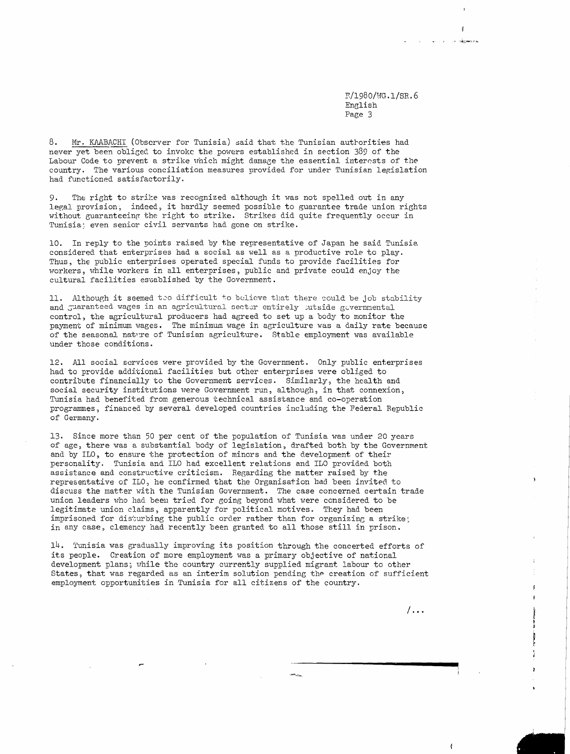~/1980/HG.I/SR.6 English Page 3

8. Mr. KAABACHI (Observer for Tunisia) said that the Tunisian autrorities had never yet been obliged to invoke the powers established in section 389 of the Labour Code to prevent a strike which might damage the essential interests of the country. The various conciliation measures provided for under Tunisian legislation had functioned satisfactorily.

9. The right to strike was recognized although it was not spelled out in any legal provision, indeed, it hardly seemed possible to guarantee trade union rights without guaranteeing the right to strike. Strikes did quite frequently occur in Tunisia; even senior civil servants had gone on strike.

10. In reply to the points raised by the representative of Japan he said Tunisia considered that enterprises had a social as well as a productive role to play. Thus, the public enterprises operated special funds to provide facilities for workers, while workers in all enterprises, public and private could enjoy the cultural facilities established by the Government.

11. Although it seemed teo difficult to believe that there could be job stability and guaranteed wages in an agricultural sector entirely outside governmental control, the agricultural producers had agreed to set up a body to monitor the payment of minimum wages. The minimum wage in agriculture was a daily rate because of the seasonal nature of Tunisian agriculture. Stable employment was available under those conditions.

12. All social services were provided by the Government. Only public enterprises had to provide additional facilities but other enterprises were obliged to contribute financially to the Government services. Similarly, the health and social security institutions were Government run, although, in that connexion, Tunisia had benefited from generous technical assistance and co-operation programmes, financed by several developed countries including the Federal Republic of Germany.

13. Since more than 50 per cent of the population of Tunisia was under 20 years of age, there was a substantial body of legislation, drafted both by the Government and by 110, to ensure the protection of minors and the development of their personality. Tunisia and 110 had excellent relations and 110 provided both assistance and constructive criticism. Regarding the matter raised by the representative of ILO, he confirmed that the Organisation had been invited to discuss the matter with the Tunisian Government. The case concerned certain trade union leaders who had been tried for going beyond what were considered to be legitimate union claims, apparently for political motives. They had been imprisoned for disturbing the public order rather than for organizing a strike; in any case, clemency had recently been granted to all those still in prison.

14. Tunisia was gradually improving its position through the concerted efforts of its people. Creation of more employment was a primary objective of national development plans; while the country currently supplied migrant labour to other States, that was regarded as an interim solution pending the creation of sufficient employment opportunities in Tunisia for all citizens of the country.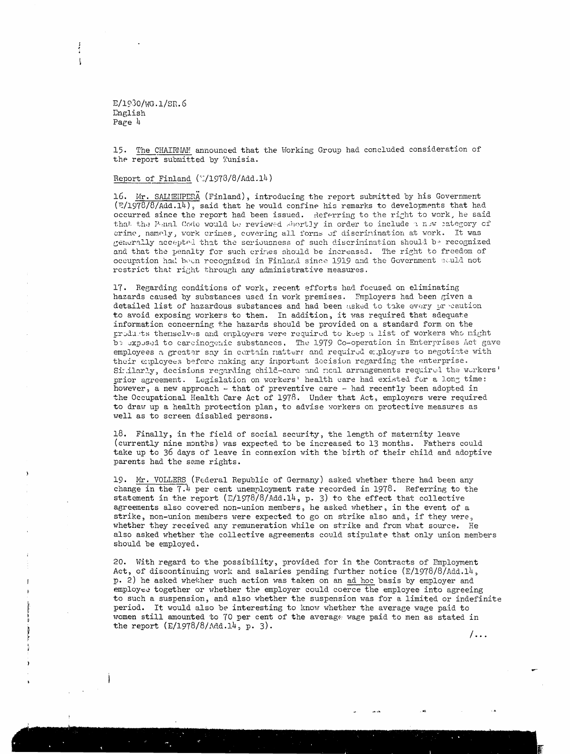$E/1930/WG.1/SR.6$ English Page  $4$ 

 $\mathbf{I}$ 

The CHAIRMAM announced that the Working Group had concluded consideration of 15. the report submitted by Tunisia.

#### Report of Finland  $(7/1978/8/Add.14)$

16. Mr. SALIENPERA (Finland), introducing the report submitted by his Government  $(F/1978/8/Add.14)$ , said that he would confine his remarks to developments that had occurred since the report had been issued. Referring to the right to work, he said that the P-nal Code would be reviewed shortly in order to include a new category of crime, namely, work crimes, covering all forms of discrimination at work. It was generally accepted that the seriousness of such discrimination should be recognized and that the penalty for such crimes should be increased. The right to freedom of occupation had been recognized in Finland since 1919 and the Government could not restrict that right through any administrative measures.

17. Regarding conditions of work, recent efforts had focused on eliminating hazards caused by substances used in work premises. Employers had been given a detailed list of hazardous substances and had been asked to take every precaution to avoid exposing workers to them. In addition, it was required that adequate information concerning the hazards should be provided on a standard form on the products themselves and employers were required to keep a list of workers who might be exposed to careinogenic substances. The 1979 Co-operation in Enterprises Act gave employees a greater say in certain natters and required employers to negotiate with their employees before making any inportant decision regarding the enterprise. Similarly, decisions regarding child-care and neal arrangements required the workers' prior agreement. Legislation on workers' health care had existed for a long time: however, a new approach - that of preventive care - had recently been adopted in the Occupational Health Care Act of 1978. Under that Act, employers were required to draw up a health protection plan, to advise workers on protective measures as well as to screen disabled persons.

18. Finally, in the field of social security, the length of maternity leave (currently nine months) was expected to be increased to 13 months. Fathers could take up to 36 days of leave in connexion with the birth of their child and adoptive parents had the same rights.

19. Mr. VOLLERS (Federal Republic of Germany) asked whether there had been any change in the  $7.4$  per cent unemployment rate recorded in 1978. Referring to the statement in the report  $(E/1978/8/4d^2.14, p. 3)$  to the effect that collective agreements also covered non-union members, he asked whether, in the event of a strike, non-union members were expected to go on strike also and, if they were, whether they received any remuneration while on strike and from what source. He also asked whether the collective agreements could stipulate that only union members should be employed.

20. With regard to the possibility, provided for in the Contracts of Employment Act, of discontinuing work and salaries pending further notice  $(E/1978/8/Add.14)$ p. 2) he asked whether such action was taken on an ad hoc basis by employer and employee together or whether the employer could coerce the employee into agreeing to such a suspension, and also whether the suspension was for a limited or indefinite period. It would also be interesting to know whether the average wage paid to women still amounted to 70 per cent of the average wage paid to men as stated in the report  $(E/1978/8/\text{Ad.14}, p. 3)$ .

/...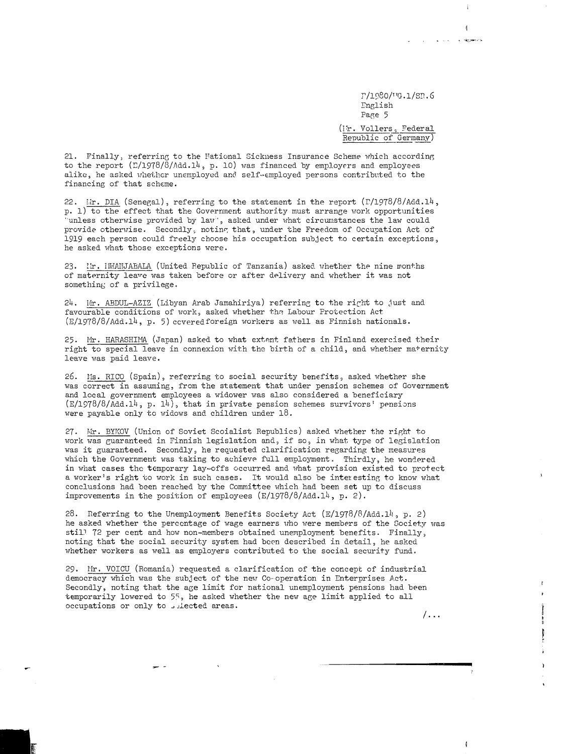r/1980/vg.1/sn.6 English Page 5 (Ir. Vollers, Federal Republic of Germany)  $\mathfrak{g}$ 

i viene s dgaarres

21. Finally, referring to the Mational Sickness Insurance Scheme which according to the report  $(L/1978/8/\text{Add.14}, p. 10)$  was financed by employers and employees alike, he asked whether unemployed and self-employed persons contributed to the financing of that scheme.

22. Lir. DIA (Senegal), referring to the statement in the report (F/1978/8/Add.14,  $p. 1$  to the effect that the Government authority must arrange work opportunities unless otherwise provided by law, asked under what circumstances the law could provide otherwise. Secondly, noting that, under the Freedom of Occupation Act of 1919 each person could freely choose his occupation subject to certain exceptions, he asked what those exceptions were.

23. Ir. IMANJABALA (United Republic of Tanzania) asked whether the nine months of maternity leave was taken before or after delivery and whether it was not something of a privilege.

24. Mr. ABDUL-AZIZ (Libyan Arab Jamahiriya) referring to the right to just and favourable conditions of work, asked whether the Labour Protection Act (E/1978/8/Add.14, p. 5) covered foreign workers as well as Finnish nationals.

25. Mr. HARASHIMA (Japan) asked to what extent fathers in Finland exercised their right to special leave in connexion with the birth of a child, and whether maternity leave was paid leave.

26. Ms. RICO (Spain), referring to social security benefits, asked whether she was correct in assuming, from the statement that under pension schemes of Government and local government employees a widower was also considered a beneficiary  $(E/1978/8/Add.14, p. 14)$ , that in private pension schemes survivors' pensions were payable only to widows and children under  $18$ .

27. Mr. BYKOV (Union of Soviet Scoialist Republics) asked whether the right to work was guaranteed in Finnish legislation and, if so, in what type of legislation was it guaranteed. Secondly, he requested clarification regarding the measures which the Government was taking to achieve full employment. Thirdly, he wondered in what cases the temporary lay-offs occurred and what provision existed to protect a worker's right to work in such cases. It would also be interesting to know what conclusions had been reached by the Committee which had been set up to discuss improvements in the position of employees  $(E/1978/8/Add.14$ , p. 2).

28. Referring to the Unemployment Benefits Society Act  $(E/1978/8/Add.14$ , p. 2) he asked whether the percentage of wage earners who were members of the Society was still 72 per cent and how non-members obtained unemployment benefits. Finally, noting that the social security system had been described in detail, he asked whether workers as well as employers contributed to the social security fund.

29. Mr. VOICU (Romania) requested a clarification of the concept of industrial democracy which was the subject of the new Co-operation in Enterprises Act. Secondly, noting that the age limit for national unemployment pensions had been temporarily lowered to 55, he asked whether the new age limit applied to all occupations or only to selected areas.

 $/$ ...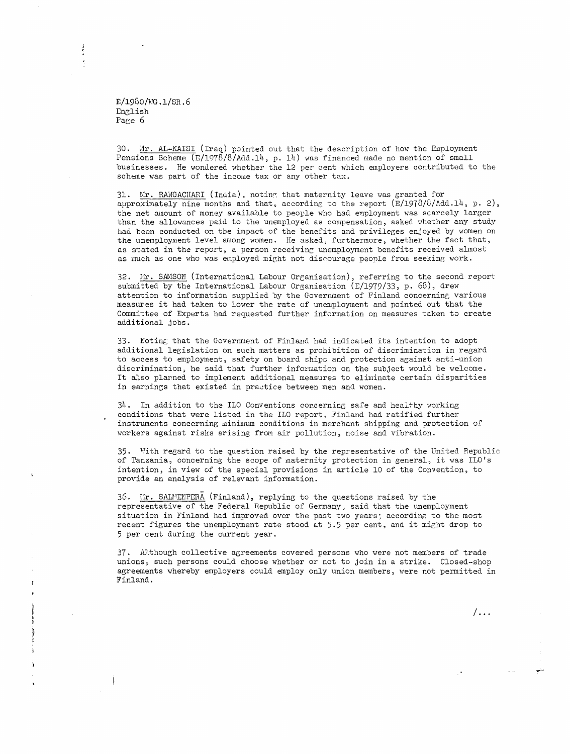E/1980/HG.l/SR.6 English Page 6

30. Mr. AL-KAISI (Iraq) pointed out that the description of how the Employment Pensions Scheme  $(E/1978/8/Add.14, p. 14)$  was financed made no mention of small businesses. He wondered whether the 12 per cent which employers contributed to the scheme was part of the income tax or any other tax.

31. Mr. RAMGACHARI (India), noting that maternity leave was granted for approximately nine months and that, according to the report  $(E/1978/6/$ Add.14, p. 2), the net amount of money available to people who had employment was scarcely larger than the allowances paid to the unemployed as compensation, asked whether any study had been conducted on the impact of the benefits and privileges enjoyed by women on the unemployment level among women. He asked, furthermore, whether the fact that, as stated in the report, a person receiving unemployment benefits received almost as much as one who was employed might not discourage people from seeking work.

32. Mr. SAMSON (International Labour Organisation), referring to the second report submitted by the International Labour Organisation ( $E/1979/33$ , p. 68), drew attention to information supplied by the Government of Finland concerning various measures it had taken to lower the rate of unemployment and pointed out that the Committee of Experts had requested further information on measures taken to create additional jobs.

33. Noting that the Government of Finland had indicated its intention to adopt additional legislation on such matters as prohibition of discrimination in regard to access to employment, safety on board ships and protection against anti-union discrimination, he said that further information on the subject would be welcome. It also planned to implement additional measures to eliminate certain disparities in earnings that existed in practice between men and women.

34. In addition to the ILO Conventions concerning safe and healthy working conditions that were listed in the 110 report, Finland had ratified further instruments concerning minimum conditions in merchant shipping and protection of workers against risks arising from air pollution, noise and vibration.

35. Tfith regard to the question raised by the representative of the United Republic of Tanzania, concerning the scope of maternity protection in general, it was I10's intention, in view of the special provisions in article 10 of the Convention, to provide an analysis of relevant information.

36. Mr. SALMEMPERA (Finland), replying to the questions raised by the representative of the Federal Republic of Germany, said that the unemployment situation in Finland had improved over the past two years: according to the most recent figures the unemployment rate stood at 5.5 per cent, and it might drop to 5 per cent during the current year.

37. Although collective agreements covered persons who were not members of trade unions, such persons could choose whether or not to join in a strike. Closed-shop agreements whereby employers could employ only union members, were not permitted in Finland.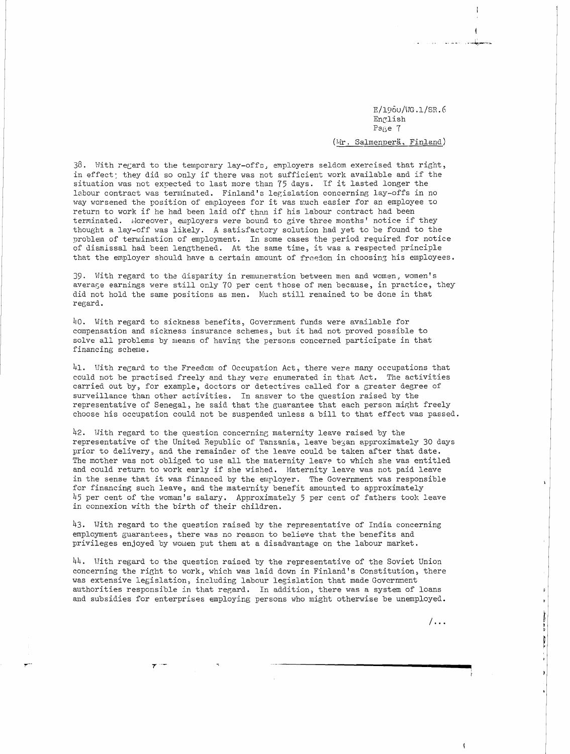E/l96u/HG.l/SR.6 English Page 7 (Mr. Salmenperä, Finland)

la lugar and and the

 $38.$  With regard to the temporary lay-offs, employers seldom exercised that right, in effect: they did so only if there was not sufficient work available and if the situation was not expected to last more than 75 days. If it lasted longer the labour contract was terminated. Finland's legislation concerning lay-offs in no way worsened the position of employees for it was much easier for an employee to return to work if he had been laid off than if his labour contract had been terminated. Horeover, employers were bound to give three months' notice if they thought a lay-off was likely. A satisfactory solution had yet to be found to the problen of terwination of employment. In some cases the period required for notice of dismissal had been lengthened. At the same time, it was <sup>a</sup> respected principle that the employer should have a certain amount of freedom in choosing his employees.

39. With regard to the disparity in remuneration between men and women, women's averase earnings were still only '70 per cent those of men because, in practice, they did not hold the same positions as men. Much still remained to be done in that regard.

40. With regard to sickness benefits, Government funds were available for compensation and sickness insurance schemes, but it had not proved possible to solve all problems by means of having the persons concerned participate in that financing scheme.

41. With regard to the Freedom of Occupation Act, there were many occupations that could not be practised freely and they were enumerated in that Act. The activities carried out by, for example, doctors or detectives called for a Greater degree of surveillance than other activities. In answer to the question raised by the representative of Senegal, he said that the guarantee that each person might freely choose his occupation could not be suspended unless <sup>a</sup> bill to that effect was passed.

42. With regard to the question concerning maternity leave raised by the representative of the United Republic of Tanzania, leave be an approximately 30 days prior to delivery, and the remainder of the leave could be taken after that date. The mother was not obliged to use all the maternity leave to which she was entitled and could return to work early if she wished. Maternity leave was not paid leave in the sense that it was financed by the employer. The Government was responsible for financing such leave, and the maternity benefit amounted to approximately  $45$  per cent of the woman's salary. Approximately 5 per cent of fathers took leave in connexion with the birth of their children.

43. With regard to the question raised by the representative of India concerning employment guarantees, there was no reason to believe that the benefits and privileges enjoyed by women put them at a disadvantage on the labour market.

44. Hith regard to the question raised by the representative of the Soviet Union concerning the right to work, which was laid down in Finland's Constitution, there was extensive legislation, including labour legislation that made Government authorities responsible in that regard. In addition, there was a system of loans and subsidies for enterprises employing persons who might otherwise be unemployed.